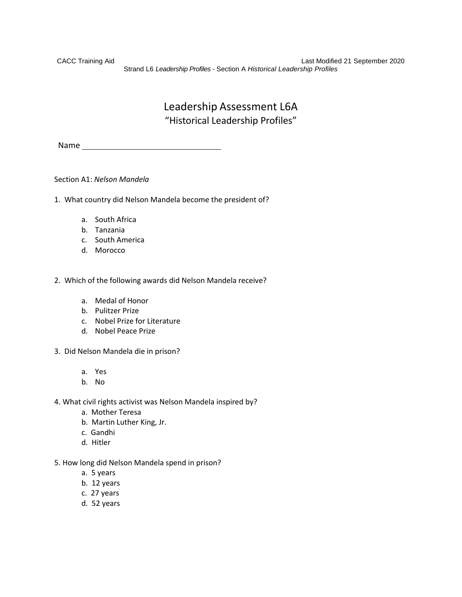CACC Training Aid Last Modified 21 September 2020 Strand L6 *Leadership Profiles -* Section A *Historical Leadership Profiles*

# Leadership Assessment L6A "Historical Leadership Profiles"

Name

# Section A1: *Nelson Mandela*

- 1. What country did Nelson Mandela become the president of?
	- a. South Africa
	- b. Tanzania
	- c. South America
	- d. Morocco
- 2. Which of the following awards did Nelson Mandela receive?
	- a. Medal of Honor
	- b. Pulitzer Prize
	- c. Nobel Prize for Literature
	- d. Nobel Peace Prize
- 3. Did Nelson Mandela die in prison?
	- a. Yes
	- b. No
- 4. What civil rights activist was Nelson Mandela inspired by?
	- a. Mother Teresa
	- b. Martin Luther King, Jr.
	- c. Gandhi
	- d. Hitler
- 5. How long did Nelson Mandela spend in prison?
	- a. 5 years
	- b. 12 years
	- c. 27 years
	- d. 52 years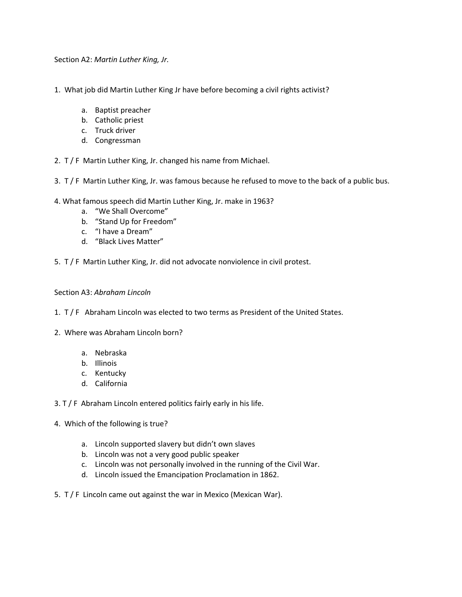Section A2: *Martin Luther King, Jr.*

- 1. What job did Martin Luther King Jr have before becoming a civil rights activist?
	- a. Baptist preacher
	- b. Catholic priest
	- c. Truck driver
	- d. Congressman

2. T / F Martin Luther King, Jr. changed his name from Michael.

- 3. T / F Martin Luther King, Jr. was famous because he refused to move to the back of a public bus.
- 4. What famous speech did Martin Luther King, Jr. make in 1963?
	- a. "We Shall Overcome"
	- b. "Stand Up for Freedom"
	- c. "I have a Dream"
	- d. "Black Lives Matter"
- 5. T / F Martin Luther King, Jr. did not advocate nonviolence in civil protest.

#### Section A3: *Abraham Lincoln*

- 1. T / F Abraham Lincoln was elected to two terms as President of the United States.
- 2. Where was Abraham Lincoln born?
	- a. Nebraska
	- b. Illinois
	- c. Kentucky
	- d. California

3. T / F Abraham Lincoln entered politics fairly early in his life.

- 4. Which of the following is true?
	- a. Lincoln supported slavery but didn't own slaves
	- b. Lincoln was not a very good public speaker
	- c. Lincoln was not personally involved in the running of the Civil War.
	- d. Lincoln issued the Emancipation Proclamation in 1862.
- 5. T / F Lincoln came out against the war in Mexico (Mexican War).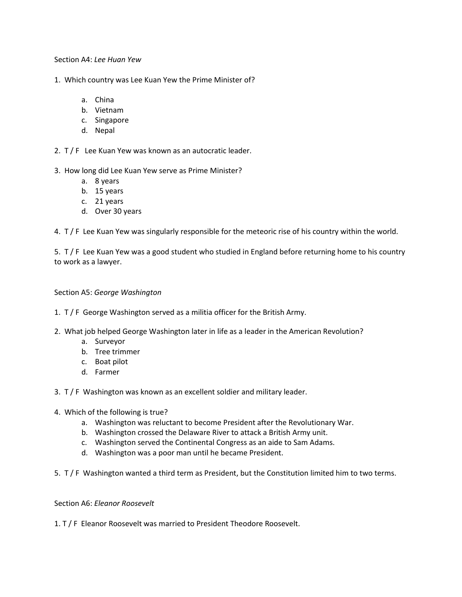Section A4: *Lee Huan Yew*

- 1. Which country was Lee Kuan Yew the Prime Minister of?
	- a. China
	- b. Vietnam
	- c. Singapore
	- d. Nepal
- 2. T / F Lee Kuan Yew was known as an autocratic leader.
- 3. How long did Lee Kuan Yew serve as Prime Minister?
	- a. 8 years
	- b. 15 years
	- c. 21 years
	- d. Over 30 years

4. T / F Lee Kuan Yew was singularly responsible for the meteoric rise of his country within the world.

5. T / F Lee Kuan Yew was a good student who studied in England before returning home to his country to work as a lawyer.

# Section A5: *George Washington*

# 1. T / F George Washington served as a militia officer for the British Army.

- 2. What job helped George Washington later in life as a leader in the American Revolution?
	- a. Surveyor
	- b. Tree trimmer
	- c. Boat pilot
	- d. Farmer

3. T / F Washington was known as an excellent soldier and military leader.

- 4. Which of the following is true?
	- a. Washington was reluctant to become President after the Revolutionary War.
	- b. Washington crossed the Delaware River to attack a British Army unit.
	- c. Washington served the Continental Congress as an aide to Sam Adams.
	- d. Washington was a poor man until he became President.
- 5. T / F Washington wanted a third term as President, but the Constitution limited him to two terms.

Section A6: *Eleanor Roosevelt*

1. T / F Eleanor Roosevelt was married to President Theodore Roosevelt.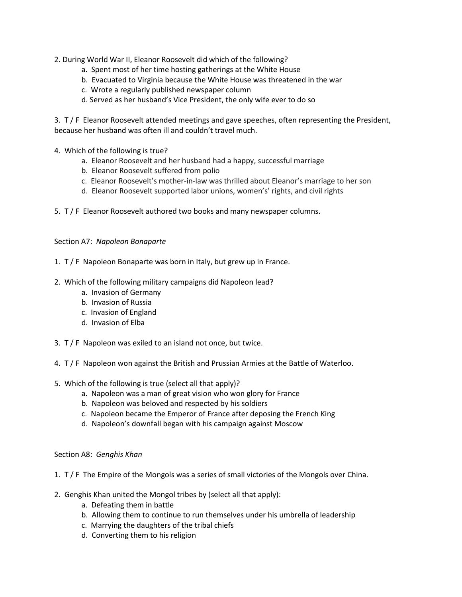2. During World War II, Eleanor Roosevelt did which of the following?

- a. Spent most of her time hosting gatherings at the White House
- b. Evacuated to Virginia because the White House was threatened in the war
- c. Wrote a regularly published newspaper column
- d. Served as her husband's Vice President, the only wife ever to do so

3. T / F Eleanor Roosevelt attended meetings and gave speeches, often representing the President, because her husband was often ill and couldn't travel much.

- 4. Which of the following is true?
	- a. Eleanor Roosevelt and her husband had a happy, successful marriage
	- b. Eleanor Roosevelt suffered from polio
	- c. Eleanor Roosevelt's mother-in-law was thrilled about Eleanor's marriage to her son
	- d. Eleanor Roosevelt supported labor unions, women's' rights, and civil rights
- 5. T / F Eleanor Roosevelt authored two books and many newspaper columns.

#### Section A7: *Napoleon Bonaparte*

- 1. T / F Napoleon Bonaparte was born in Italy, but grew up in France.
- 2. Which of the following military campaigns did Napoleon lead?
	- a. Invasion of Germany
	- b. Invasion of Russia
	- c. Invasion of England
	- d. Invasion of Elba
- 3. T / F Napoleon was exiled to an island not once, but twice.
- 4. T / F Napoleon won against the British and Prussian Armies at the Battle of Waterloo.
- 5. Which of the following is true (select all that apply)?
	- a. Napoleon was a man of great vision who won glory for France
	- b. Napoleon was beloved and respected by his soldiers
	- c. Napoleon became the Emperor of France after deposing the French King
	- d. Napoleon's downfall began with his campaign against Moscow

# Section A8: *Genghis Khan*

- 1. T / F The Empire of the Mongols was a series of small victories of the Mongols over China.
- 2. Genghis Khan united the Mongol tribes by (select all that apply):
	- a. Defeating them in battle
	- b. Allowing them to continue to run themselves under his umbrella of leadership
	- c. Marrying the daughters of the tribal chiefs
	- d. Converting them to his religion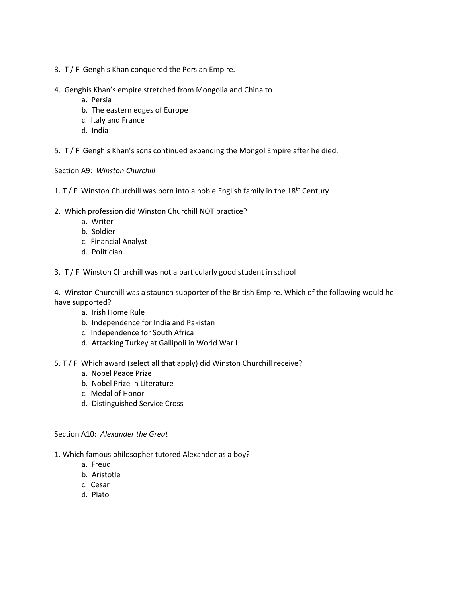- 3. T / F Genghis Khan conquered the Persian Empire.
- 4. Genghis Khan's empire stretched from Mongolia and China to
	- a. Persia
	- b. The eastern edges of Europe
	- c. Italy and France
	- d. India

5. T / F Genghis Khan's sons continued expanding the Mongol Empire after he died.

Section A9: *Winston Churchill*

- 1. T / F Winston Churchill was born into a noble English family in the  $18<sup>th</sup>$  Century
- 2. Which profession did Winston Churchill NOT practice?
	- a. Writer
	- b. Soldier
	- c. Financial Analyst
	- d. Politician
- 3. T / F Winston Churchill was not a particularly good student in school

4. Winston Churchill was a staunch supporter of the British Empire. Which of the following would he have supported?

- a. Irish Home Rule
- b. Independence for India and Pakistan
- c. Independence for South Africa
- d. Attacking Turkey at Gallipoli in World War I
- 5. T / F Which award (select all that apply) did Winston Churchill receive?
	- a. Nobel Peace Prize
	- b. Nobel Prize in Literature
	- c. Medal of Honor
	- d. Distinguished Service Cross

Section A10: *Alexander the Great*

- 1. Which famous philosopher tutored Alexander as a boy?
	- a. Freud
	- b. Aristotle
	- c. Cesar
	- d. Plato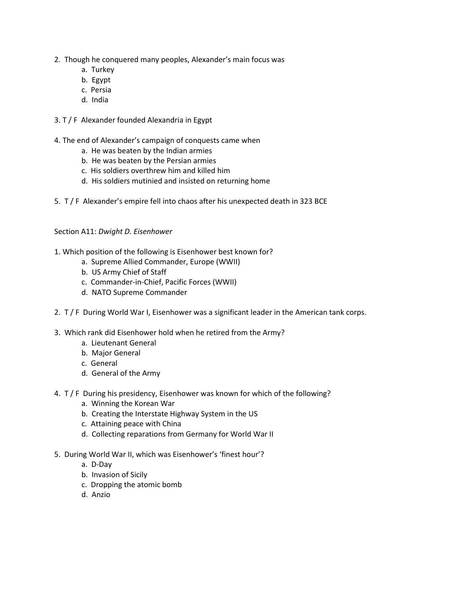- 2. Though he conquered many peoples, Alexander's main focus was
	- a. Turkey
	- b. Egypt
	- c. Persia
	- d. India
- 3. T / F Alexander founded Alexandria in Egypt
- 4. The end of Alexander's campaign of conquests came when
	- a. He was beaten by the Indian armies
	- b. He was beaten by the Persian armies
	- c. His soldiers overthrew him and killed him
	- d. His soldiers mutinied and insisted on returning home
- 5. T / F Alexander's empire fell into chaos after his unexpected death in 323 BCE

#### Section A11: *Dwight D. Eisenhower*

- 1. Which position of the following is Eisenhower best known for?
	- a. Supreme Allied Commander, Europe (WWII)
	- b. US Army Chief of Staff
	- c. Commander-in-Chief, Pacific Forces (WWII)
	- d. NATO Supreme Commander
- 2. T / F During World War I, Eisenhower was a significant leader in the American tank corps.
- 3. Which rank did Eisenhower hold when he retired from the Army?
	- a. Lieutenant General
	- b. Major General
	- c. General
	- d. General of the Army
- 4. T / F During his presidency, Eisenhower was known for which of the following?
	- a. Winning the Korean War
	- b. Creating the Interstate Highway System in the US
	- c. Attaining peace with China
	- d. Collecting reparations from Germany for World War II
- 5. During World War II, which was Eisenhower's 'finest hour'?
	- a. D-Day
	- b. Invasion of Sicily
	- c. Dropping the atomic bomb
	- d. Anzio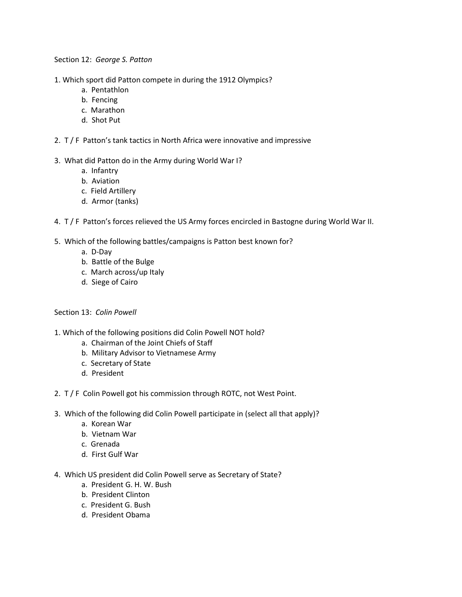Section 12: *George S. Patton*

- 1. Which sport did Patton compete in during the 1912 Olympics?
	- a. Pentathlon
	- b. Fencing
	- c. Marathon
	- d. Shot Put
- 2. T / F Patton's tank tactics in North Africa were innovative and impressive

# 3. What did Patton do in the Army during World War I?

- a. Infantry
- b. Aviation
- c. Field Artillery
- d. Armor (tanks)
- 4. T / F Patton's forces relieved the US Army forces encircled in Bastogne during World War II.
- 5. Which of the following battles/campaigns is Patton best known for?
	- a. D-Day
	- b. Battle of the Bulge
	- c. March across/up Italy
	- d. Siege of Cairo

# Section 13: *Colin Powell*

- 1. Which of the following positions did Colin Powell NOT hold?
	- a. Chairman of the Joint Chiefs of Staff
	- b. Military Advisor to Vietnamese Army
	- c. Secretary of State
	- d. President
- 2. T / F Colin Powell got his commission through ROTC, not West Point.
- 3. Which of the following did Colin Powell participate in (select all that apply)?
	- a. Korean War
	- b. Vietnam War
	- c. Grenada
	- d. First Gulf War
- 4. Which US president did Colin Powell serve as Secretary of State?
	- a. President G. H. W. Bush
	- b. President Clinton
	- c. President G. Bush
	- d. President Obama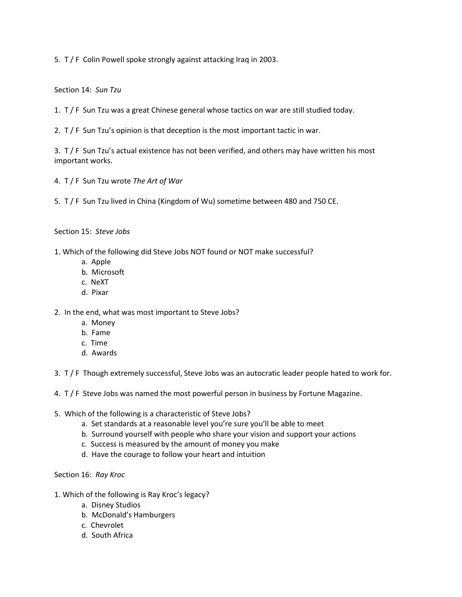5. T / F Colin Powell spoke strongly against attacking Iraq in 2003.

Section 14: *Sun Tzu*

- 1. T / F Sun Tzu was a great Chinese general whose tactics on war are still studied today.
- 2.  $T / F$  Sun Tzu's opinion is that deception is the most important tactic in war.

3. T / F Sun Tzu's actual existence has not been verified, and others may have written his most important works.

- 4. T / F Sun Tzu wrote *The Art of War*
- 5. T / F Sun Tzu lived in China (Kingdom of Wu) sometime between 480 and 750 CE.

# Section 15: *Steve Jobs*

- 1. Which of the following did Steve Jobs NOT found or NOT make successful?
	- a. Apple
	- b. Microsoft
	- c. NeXT
	- d. Pixar

2. In the end, what was most important to Steve Jobs?

- a. Money
- b. Fame
- c. Time
- d. Awards
- 3. T / F Though extremely successful, Steve Jobs was an autocratic leader people hated to work for.
- 4. T / F Steve Jobs was named the most powerful person in business by Fortune Magazine.
- 5. Which of the following is a characteristic of Steve Jobs?
	- a. Set standards at a reasonable level you're sure you'll be able to meet
	- b. Surround yourself with people who share your vision and support your actions
	- c. Success is measured by the amount of money you make
	- d. Have the courage to follow your heart and intuition

# Section 16: *Ray Kroc*

- 1. Which of the following is Ray Kroc's legacy?
	- a. Disney Studios
	- b. McDonald's Hamburgers
	- c. Chevrolet
	- d. South Africa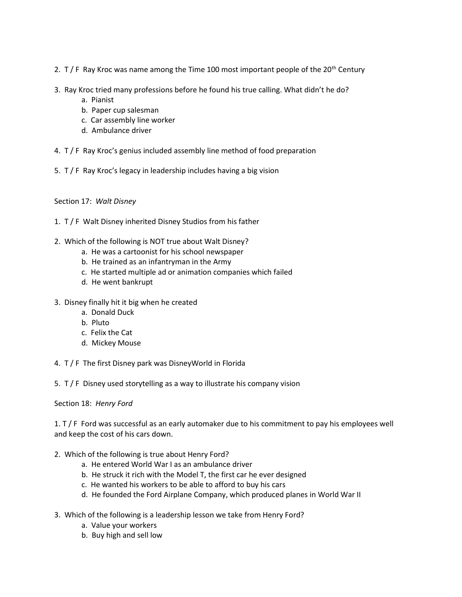- 2. T / F Ray Kroc was name among the Time 100 most important people of the 20<sup>th</sup> Century
- 3. Ray Kroc tried many professions before he found his true calling. What didn't he do?
	- a. Pianist
	- b. Paper cup salesman
	- c. Car assembly line worker
	- d. Ambulance driver
- 4. T / F Ray Kroc's genius included assembly line method of food preparation
- 5. T / F Ray Kroc's legacy in leadership includes having a big vision
- Section 17: *Walt Disney*
- 1. T / F Walt Disney inherited Disney Studios from his father
- 2. Which of the following is NOT true about Walt Disney?
	- a. He was a cartoonist for his school newspaper
	- b. He trained as an infantryman in the Army
	- c. He started multiple ad or animation companies which failed
	- d. He went bankrupt
- 3. Disney finally hit it big when he created
	- a. Donald Duck
	- b. Pluto
	- c. Felix the Cat
	- d. Mickey Mouse
- 4. T / F The first Disney park was DisneyWorld in Florida
- 5. T / F Disney used storytelling as a way to illustrate his company vision

# Section 18: *Henry Ford*

1. T / F Ford was successful as an early automaker due to his commitment to pay his employees well and keep the cost of his cars down.

- 2. Which of the following is true about Henry Ford?
	- a. He entered World War I as an ambulance driver
	- b. He struck it rich with the Model T, the first car he ever designed
	- c. He wanted his workers to be able to afford to buy his cars
	- d. He founded the Ford Airplane Company, which produced planes in World War II
- 3. Which of the following is a leadership lesson we take from Henry Ford?
	- a. Value your workers
	- b. Buy high and sell low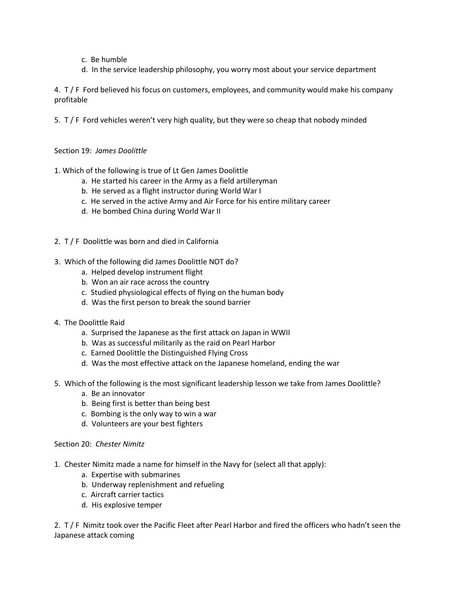- c. Be humble
- d. In the service leadership philosophy, you worry most about your service department

4. T / F Ford believed his focus on customers, employees, and community would make his company profitable

5. T / F Ford vehicles weren't very high quality, but they were so cheap that nobody minded

# Section 19: *James Doolittle*

1. Which of the following is true of Lt Gen James Doolittle

- a. He started his career in the Army as a field artilleryman
- b. He served as a flight instructor during World War I
- c. He served in the active Army and Air Force for his entire military career
- d. He bombed China during World War II
- 2. T / F Doolittle was born and died in California
- 3. Which of the following did James Doolittle NOT do?
	- a. Helped develop instrument flight
	- b. Won an air race across the country
	- c. Studied physiological effects of flying on the human body
	- d. Was the first person to break the sound barrier
- 4. The Doolittle Raid
	- a. Surprised the Japanese as the first attack on Japan in WWII
	- b. Was as successful militarily as the raid on Pearl Harbor
	- c. Earned Doolittle the Distinguished Flying Cross
	- d. Was the most effective attack on the Japanese homeland, ending the war
- 5. Which of the following is the most significant leadership lesson we take from James Doolittle?
	- a. Be an innovator
	- b. Being first is better than being best
	- c. Bombing is the only way to win a war
	- d. Volunteers are your best fighters

#### Section 20: *Chester Nimitz*

- 1. Chester Nimitz made a name for himself in the Navy for (select all that apply):
	- a. Expertise with submarines
	- b. Underway replenishment and refueling
	- c. Aircraft carrier tactics
	- d. His explosive temper

2. T / F Nimitz took over the Pacific Fleet after Pearl Harbor and fired the officers who hadn't seen the Japanese attack coming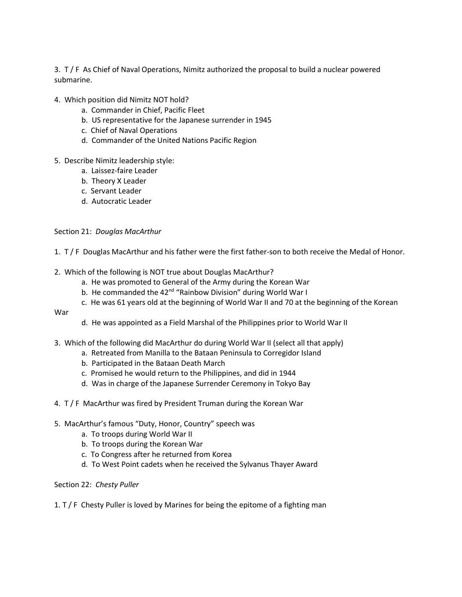3. T / F As Chief of Naval Operations, Nimitz authorized the proposal to build a nuclear powered submarine.

- 4. Which position did Nimitz NOT hold?
	- a. Commander in Chief, Pacific Fleet
	- b. US representative for the Japanese surrender in 1945
	- c. Chief of Naval Operations
	- d. Commander of the United Nations Pacific Region
- 5. Describe Nimitz leadership style:
	- a. Laissez-faire Leader
	- b. Theory X Leader
	- c. Servant Leader
	- d. Autocratic Leader

#### Section 21: *Douglas MacArthur*

1. T / F Douglas MacArthur and his father were the first father-son to both receive the Medal of Honor.

- 2. Which of the following is NOT true about Douglas MacArthur?
	- a. He was promoted to General of the Army during the Korean War
	- b. He commanded the 42<sup>nd</sup> "Rainbow Division" during World War I
	- c. He was 61 years old at the beginning of World War II and 70 at the beginning of the Korean

War

- d. He was appointed as a Field Marshal of the Philippines prior to World War II
- 3. Which of the following did MacArthur do during World War II (select all that apply)
	- a. Retreated from Manilla to the Bataan Peninsula to Corregidor Island
	- b. Participated in the Bataan Death March
	- c. Promised he would return to the Philippines, and did in 1944
	- d. Was in charge of the Japanese Surrender Ceremony in Tokyo Bay
- 4. T / F MacArthur was fired by President Truman during the Korean War
- 5. MacArthur's famous "Duty, Honor, Country" speech was
	- a. To troops during World War II
	- b. To troops during the Korean War
	- c. To Congress after he returned from Korea
	- d. To West Point cadets when he received the Sylvanus Thayer Award

#### Section 22: *Chesty Puller*

#### 1. T / F Chesty Puller is loved by Marines for being the epitome of a fighting man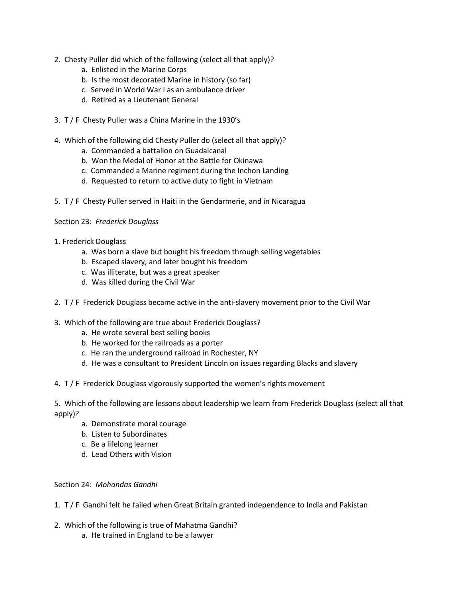- 2. Chesty Puller did which of the following (select all that apply)?
	- a. Enlisted in the Marine Corps
	- b. Is the most decorated Marine in history (so far)
	- c. Served in World War I as an ambulance driver
	- d. Retired as a Lieutenant General
- 3. T / F Chesty Puller was a China Marine in the 1930's
- 4. Which of the following did Chesty Puller do (select all that apply)?
	- a. Commanded a battalion on Guadalcanal
	- b. Won the Medal of Honor at the Battle for Okinawa
	- c. Commanded a Marine regiment during the Inchon Landing
	- d. Requested to return to active duty to fight in Vietnam
- 5. T / F Chesty Puller served in Haiti in the Gendarmerie, and in Nicaragua

#### Section 23: *Frederick Douglass*

- 1. Frederick Douglass
	- a. Was born a slave but bought his freedom through selling vegetables
	- b. Escaped slavery, and later bought his freedom
	- c. Was illiterate, but was a great speaker
	- d. Was killed during the Civil War
- 2. T / F Frederick Douglass became active in the anti-slavery movement prior to the Civil War
- 3. Which of the following are true about Frederick Douglass?
	- a. He wrote several best selling books
	- b. He worked for the railroads as a porter
	- c. He ran the underground railroad in Rochester, NY
	- d. He was a consultant to President Lincoln on issues regarding Blacks and slavery
- 4. T / F Frederick Douglass vigorously supported the women's rights movement

5. Which of the following are lessons about leadership we learn from Frederick Douglass (select all that apply)?

- a. Demonstrate moral courage
- b. Listen to Subordinates
- c. Be a lifelong learner
- d. Lead Others with Vision

# Section 24: *Mohandas Gandhi*

- 1. T / F Gandhi felt he failed when Great Britain granted independence to India and Pakistan
- 2. Which of the following is true of Mahatma Gandhi?
	- a. He trained in England to be a lawyer